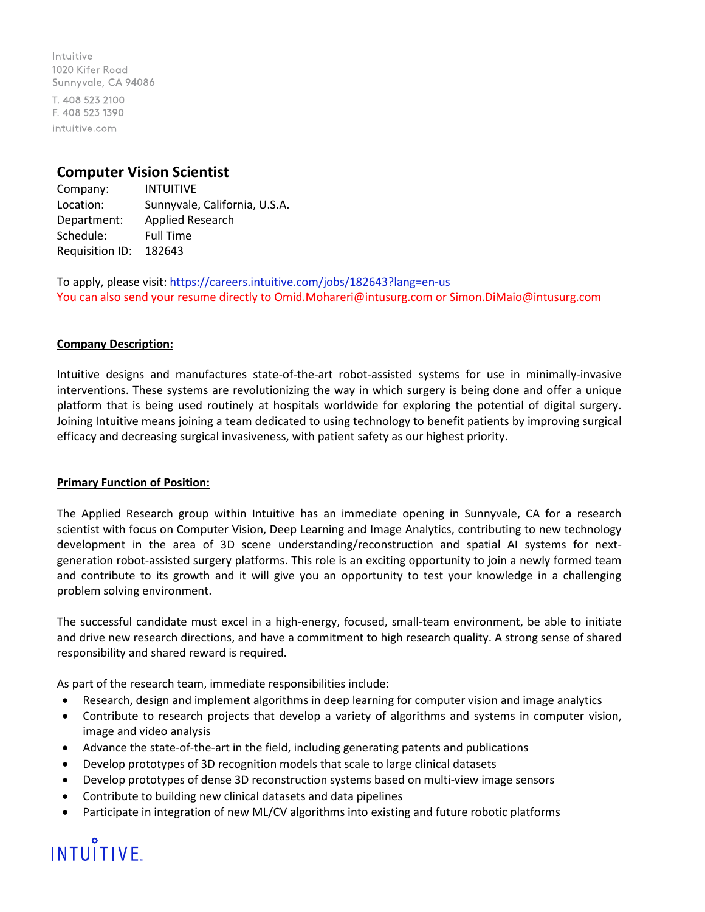Intuitive 1020 Kifer Road Sunnyvale, CA 94086 T. 408 523 2100 F. 408 523 1390 intuitive.com

### **Computer Vision Scientist**

Company: INTUITIVE Location: Sunnyvale, California, U.S.A. Department: Applied Research Schedule: Full Time Requisition ID: 182643

To apply, please visit: <https://careers.intuitive.com/jobs/182643?lang=en-us> You can also send your resume directly to *Omid.Mohareri@intusurg.com* o[r Simon.DiMaio@intusurg.com](mailto:Simon.DiMaio@intusurg.com)

### **Company Description:**

Intuitive designs and manufactures state-of-the-art robot-assisted systems for use in minimally-invasive interventions. These systems are revolutionizing the way in which surgery is being done and offer a unique platform that is being used routinely at hospitals worldwide for exploring the potential of digital surgery. Joining Intuitive means joining a team dedicated to using technology to benefit patients by improving surgical efficacy and decreasing surgical invasiveness, with patient safety as our highest priority.

### **Primary Function of Position:**

The Applied Research group within Intuitive has an immediate opening in Sunnyvale, CA for a research scientist with focus on Computer Vision, Deep Learning and Image Analytics, contributing to new technology development in the area of 3D scene understanding/reconstruction and spatial AI systems for nextgeneration robot-assisted surgery platforms. This role is an exciting opportunity to join a newly formed team and contribute to its growth and it will give you an opportunity to test your knowledge in a challenging problem solving environment.

The successful candidate must excel in a high-energy, focused, small-team environment, be able to initiate and drive new research directions, and have a commitment to high research quality. A strong sense of shared responsibility and shared reward is required.

As part of the research team, immediate responsibilities include:

- Research, design and implement algorithms in deep learning for computer vision and image analytics
- Contribute to research projects that develop a variety of algorithms and systems in computer vision, image and video analysis
- Advance the state-of-the-art in the field, including generating patents and publications
- Develop prototypes of 3D recognition models that scale to large clinical datasets
- Develop prototypes of dense 3D reconstruction systems based on multi-view image sensors
- Contribute to building new clinical datasets and data pipelines
- Participate in integration of new ML/CV algorithms into existing and future robotic platforms

# **INTUITIVE**